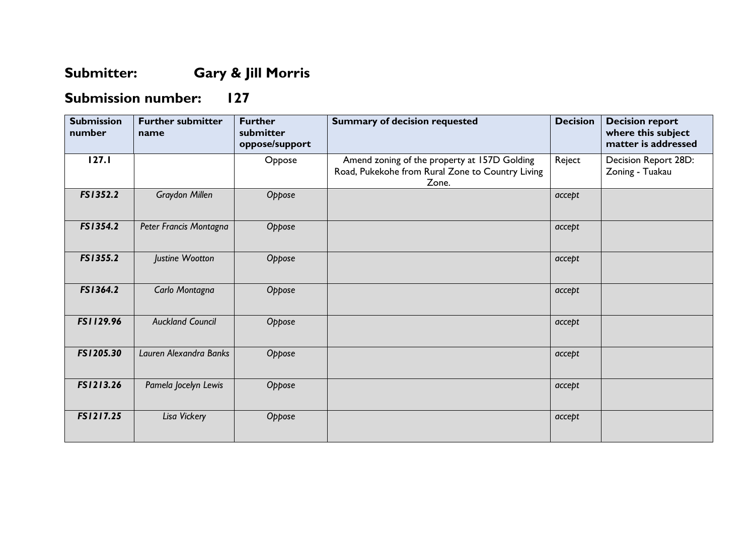## **Submitter: Gary & Jill Morris**

## **Submission number: 127**

| <b>Submission</b><br>number | <b>Further submitter</b><br>name | <b>Further</b><br>submitter<br>oppose/support | <b>Summary of decision requested</b>                                                                      | <b>Decision</b> | <b>Decision report</b><br>where this subject<br>matter is addressed |
|-----------------------------|----------------------------------|-----------------------------------------------|-----------------------------------------------------------------------------------------------------------|-----------------|---------------------------------------------------------------------|
| 127.1                       |                                  | Oppose                                        | Amend zoning of the property at 157D Golding<br>Road, Pukekohe from Rural Zone to Country Living<br>Zone. | Reject          | Decision Report 28D:<br>Zoning - Tuakau                             |
| FS1352.2                    | <b>Graydon Millen</b>            | Oppose                                        |                                                                                                           | accept          |                                                                     |
| FS1354.2                    | Peter Francis Montagna           | Oppose                                        |                                                                                                           | accept          |                                                                     |
| FS1355.2                    | Justine Wootton                  | Oppose                                        |                                                                                                           | accept          |                                                                     |
| FS1364.2                    | Carlo Montagna                   | Oppose                                        |                                                                                                           | accept          |                                                                     |
| FS1129.96                   | <b>Auckland Council</b>          | Oppose                                        |                                                                                                           | accept          |                                                                     |
| FS1205.30                   | Lauren Alexandra Banks           | Oppose                                        |                                                                                                           | accept          |                                                                     |
| FS1213.26                   | Pamela Jocelyn Lewis             | Oppose                                        |                                                                                                           | accept          |                                                                     |
| FS1217.25                   | Lisa Vickery                     | Oppose                                        |                                                                                                           | accept          |                                                                     |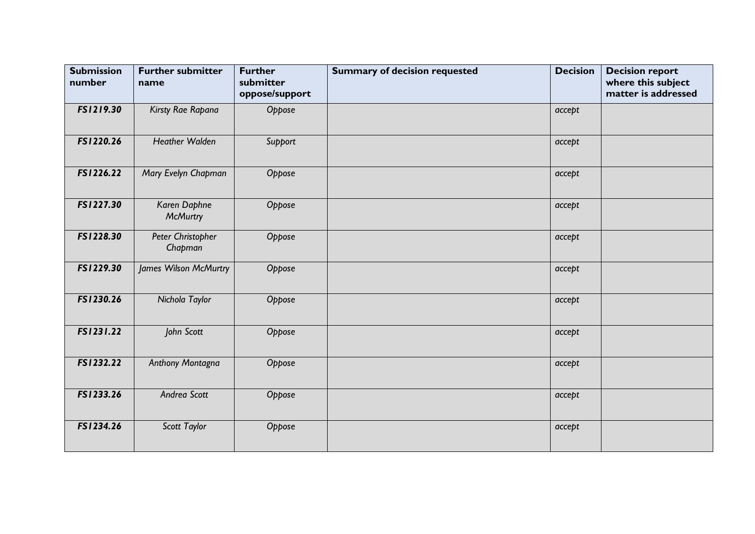| <b>Submission</b><br>number | <b>Further submitter</b><br>name | <b>Further</b><br>submitter<br>oppose/support | <b>Summary of decision requested</b> | <b>Decision</b> | <b>Decision report</b><br>where this subject<br>matter is addressed |
|-----------------------------|----------------------------------|-----------------------------------------------|--------------------------------------|-----------------|---------------------------------------------------------------------|
| FS1219.30                   | Kirsty Rae Rapana                | Oppose                                        |                                      | accept          |                                                                     |
| FS1220.26                   | <b>Heather Walden</b>            | Support                                       |                                      | accept          |                                                                     |
| FS1226.22                   | Mary Evelyn Chapman              | Oppose                                        |                                      | accept          |                                                                     |
| FS1227.30                   | Karen Daphne<br><b>McMurtry</b>  | Oppose                                        |                                      | accept          |                                                                     |
| FS1228.30                   | Peter Christopher<br>Chapman     | Oppose                                        |                                      | accept          |                                                                     |
| FS1229.30                   | James Wilson McMurtry            | Oppose                                        |                                      | accept          |                                                                     |
| FS1230.26                   | Nichola Taylor                   | Oppose                                        |                                      | accept          |                                                                     |
| FS1231.22                   | John Scott                       | Oppose                                        |                                      | accept          |                                                                     |
| FS1232.22                   | Anthony Montagna                 | Oppose                                        |                                      | accept          |                                                                     |
| FS1233.26                   | Andrea Scott                     | Oppose                                        |                                      | accept          |                                                                     |
| FS1234.26                   | Scott Taylor                     | Oppose                                        |                                      | accept          |                                                                     |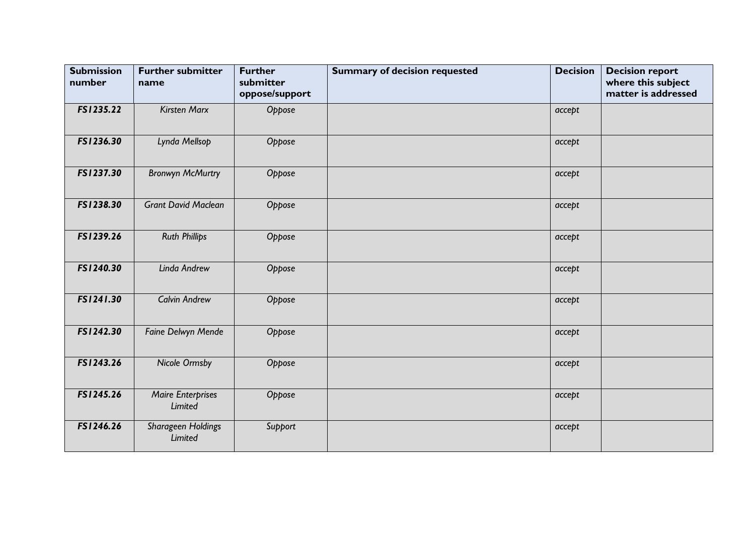| <b>Submission</b><br>number | <b>Further submitter</b><br>name           | <b>Further</b><br>submitter<br>oppose/support | <b>Summary of decision requested</b> | <b>Decision</b> | <b>Decision report</b><br>where this subject<br>matter is addressed |
|-----------------------------|--------------------------------------------|-----------------------------------------------|--------------------------------------|-----------------|---------------------------------------------------------------------|
| FS1235.22                   | <b>Kirsten Marx</b>                        | Oppose                                        |                                      | accept          |                                                                     |
| FS1236.30                   | Lynda Mellsop                              | Oppose                                        |                                      | accept          |                                                                     |
| FS1237.30                   | <b>Bronwyn McMurtry</b>                    | Oppose                                        |                                      | accept          |                                                                     |
| FS1238.30                   | <b>Grant David Maclean</b>                 | Oppose                                        |                                      | accept          |                                                                     |
| FS1239.26                   | <b>Ruth Phillips</b>                       | Oppose                                        |                                      | accept          |                                                                     |
| FS1240.30                   | Linda Andrew                               | Oppose                                        |                                      | accept          |                                                                     |
| FS1241.30                   | <b>Calvin Andrew</b>                       | Oppose                                        |                                      | accept          |                                                                     |
| FS1242.30                   | Faine Delwyn Mende                         | Oppose                                        |                                      | accept          |                                                                     |
| FS1243.26                   | <b>Nicole Ormsby</b>                       | Oppose                                        |                                      | accept          |                                                                     |
| FS1245.26                   | <b>Maire Enterprises</b><br><b>Limited</b> | Oppose                                        |                                      | accept          |                                                                     |
| FS1246.26                   | Sharageen Holdings<br>Limited              | Support                                       |                                      | accept          |                                                                     |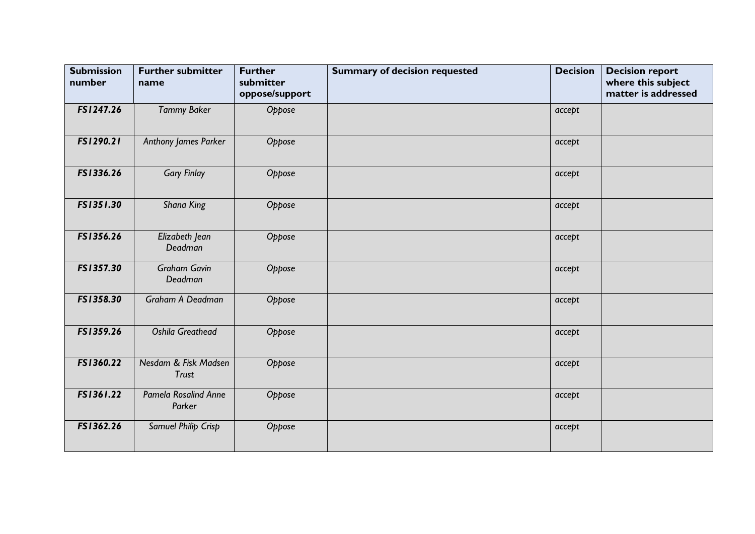| <b>Submission</b><br>number | <b>Further submitter</b><br>name      | <b>Further</b><br>submitter<br>oppose/support | <b>Summary of decision requested</b> | <b>Decision</b> | <b>Decision report</b><br>where this subject<br>matter is addressed |
|-----------------------------|---------------------------------------|-----------------------------------------------|--------------------------------------|-----------------|---------------------------------------------------------------------|
| FS1247.26                   | <b>Tammy Baker</b>                    | Oppose                                        |                                      | accept          |                                                                     |
| FS1290.21                   | Anthony James Parker                  | Oppose                                        |                                      | accept          |                                                                     |
| FS1336.26                   | <b>Gary Finlay</b>                    | Oppose                                        |                                      | accept          |                                                                     |
| FS1351.30                   | Shana King                            | Oppose                                        |                                      | accept          |                                                                     |
| FS1356.26                   | Elizabeth Jean<br>Deadman             | Oppose                                        |                                      | accept          |                                                                     |
| FS1357.30                   | <b>Graham Gavin</b><br>Deadman        | Oppose                                        |                                      | accept          |                                                                     |
| FS1358.30                   | Graham A Deadman                      | Oppose                                        |                                      | accept          |                                                                     |
| FS1359.26                   | <b>Oshila Greathead</b>               | Oppose                                        |                                      | accept          |                                                                     |
| FS1360.22                   | Nesdam & Fisk Madsen<br><b>Trust</b>  | Oppose                                        |                                      | accept          |                                                                     |
| FS1361.22                   | <b>Pamela Rosalind Anne</b><br>Parker | Oppose                                        |                                      | accept          |                                                                     |
| FS1362.26                   | Samuel Philip Crisp                   | Oppose                                        |                                      | accept          |                                                                     |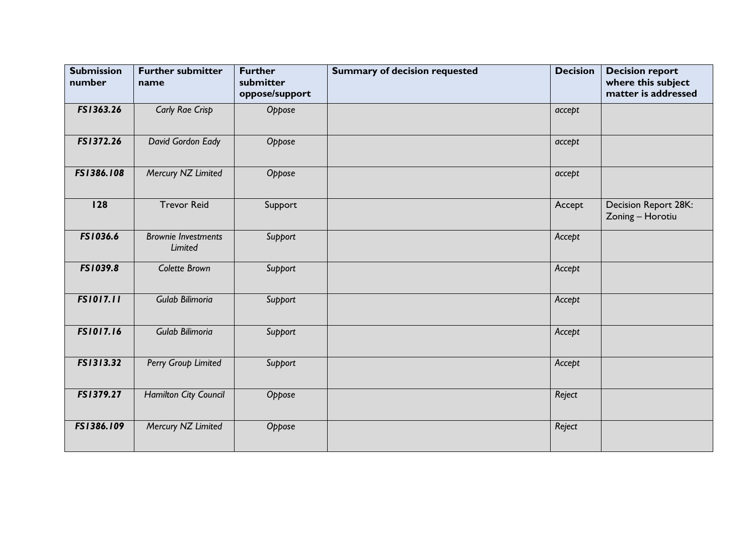| <b>Submission</b><br>number | <b>Further submitter</b><br>name      | <b>Further</b><br>submitter<br>oppose/support | <b>Summary of decision requested</b> | <b>Decision</b> | <b>Decision report</b><br>where this subject<br>matter is addressed |
|-----------------------------|---------------------------------------|-----------------------------------------------|--------------------------------------|-----------------|---------------------------------------------------------------------|
| FS1363.26                   | <b>Carly Rae Crisp</b>                | Oppose                                        |                                      | accept          |                                                                     |
| FS1372.26                   | David Gordon Eady                     | Oppose                                        |                                      | accept          |                                                                     |
| FS1386.108                  | Mercury NZ Limited                    | Oppose                                        |                                      | accept          |                                                                     |
| 128                         | <b>Trevor Reid</b>                    | Support                                       |                                      | Accept          | Decision Report 28K:<br>Zoning - Horotiu                            |
| FS1036.6                    | <b>Brownie Investments</b><br>Limited | Support                                       |                                      | Accept          |                                                                     |
| FS1039.8                    | Colette Brown                         | Support                                       |                                      | Accept          |                                                                     |
| <b>FS1017.11</b>            | Gulab Bilimoria                       | Support                                       |                                      | Accept          |                                                                     |
| FS1017.16                   | Gulab Bilimoria                       | Support                                       |                                      | Accept          |                                                                     |
| FS1313.32                   | Perry Group Limited                   | Support                                       |                                      | Accept          |                                                                     |
| FS1379.27                   | Hamilton City Council                 | Oppose                                        |                                      | Reject          |                                                                     |
| FS1386.109                  | Mercury NZ Limited                    | Oppose                                        |                                      | Reject          |                                                                     |